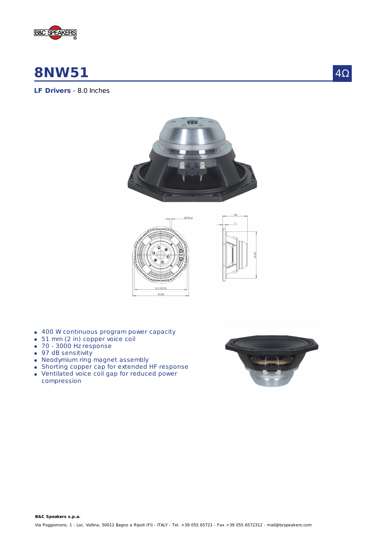

# **8NW51**

4Ω

# **LF Drivers** - 8.0 Inches





- 400 W continuous program power capacity
- 51 mm (2 in) copper voice coil
- 70 3000 Hz response
- 97 dB sensitivity
- Neodymium ring magnet assembly
- Shorting copper cap for extended HF response
- Ventilated voice coil gap for reduced power compression